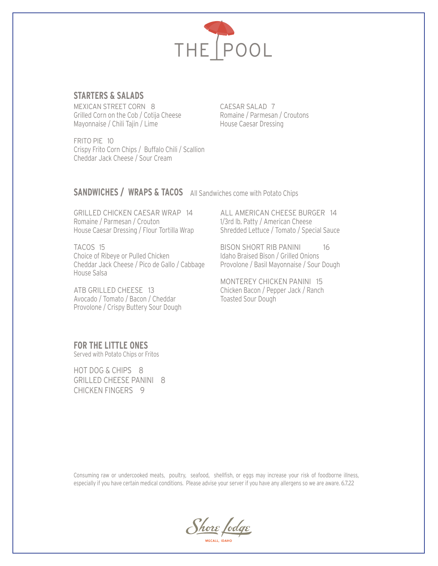

# **STARTERS & SALADS**

MEXICAN STREET CORN 8 Grilled Corn on the Cob / Cotija Cheese Mayonnaise / Chili Tajin / Lime

FRITO PIE 10 Crispy Frito Corn Chips / Buffalo Chili / Scallion Cheddar Jack Cheese / Sour Cream

CAESAR SALAD 7 Romaine / Parmesan / Croutons House Caesar Dressing

#### **SANDWICHES / WRAPS & TACOS** All Sandwiches come with Potato Chips

GRILLED CHICKEN CAESAR WRAP 14 Romaine / Parmesan / Crouton House Caesar Dressing / Flour Tortilla Wrap

TACOS 15 Choice of Ribeye or Pulled Chicken Cheddar Jack Cheese / Pico de Gallo / Cabbage House Salsa

ATB GRILLED CHEESE 13 Avocado / Tomato / Bacon / Cheddar Provolone / Crispy Buttery Sour Dough ALL AMERICAN CHEESE BURGER 14 1/3rd lb. Patty / American Cheese Shredded Lettuce / Tomato / Special Sauce

BISON SHORT RIB PANINI 16 Idaho Braised Bison / Grilled Onions Provolone / Basil Mayonnaise / Sour Dough

MONTEREY CHICKEN PANINI 15 Chicken Bacon / Pepper Jack / Ranch Toasted Sour Dough

**FOR THE LITTLE ONES**  Served with Potato Chips or Fritos

HOT DOG & CHIPS 8 GRILLED CHEESE PANINI 8 CHICKEN FINGERS 9

Consuming raw or undercooked meats, poultry, seafood, shellfish, or eggs may increase your risk of foodborne illness, especially if you have certain medical conditions. Please advise your server if you have any allergens so we are aware. 6.7.22

<u>Shore</u> fodge